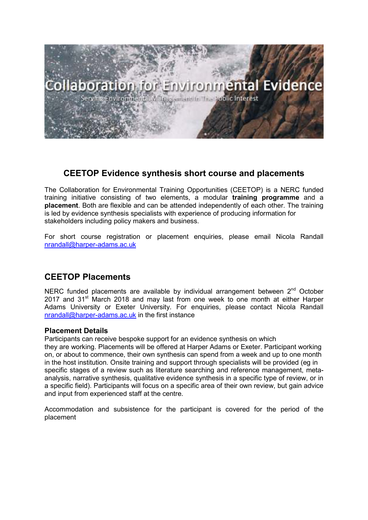

## **CEETOP Evidence synthesis short course and placements**

The Collaboration for Environmental Training Opportunities (CEETOP) is a NERC funded training initiative consisting of two elements, a modular **training programme** and a **placement**. Both are flexible and can be attended independently of each other. The training is led by evidence synthesis specialists with experience of producing information for stakeholders including policy makers and business.

For short course registration or placement enquiries, please email Nicola Randall nrandall@harper-adams.ac.uk

# **CEETOP Placements**

NERC funded placements are available by individual arrangement between  $2<sup>nd</sup>$  October 2017 and 31<sup>st</sup> March 2018 and may last from one week to one month at either Harper Adams University or Exeter University. For enquiries, please contact Nicola Randall nrandall@harper-adams.ac.uk in the first instance

## **Placement Details**

Participants can receive bespoke support for an evidence synthesis on which

they are working. Placements will be offered at Harper Adams or Exeter. Participant working on, or about to commence, their own synthesis can spend from a week and up to one month in the host institution. Onsite training and support through specialists will be provided (eg in specific stages of a review such as literature searching and reference management, metaanalysis, narrative synthesis, qualitative evidence synthesis in a specific type of review, or in a specific field). Participants will focus on a specific area of their own review, but gain advice and input from experienced staff at the centre.

Accommodation and subsistence for the participant is covered for the period of the placement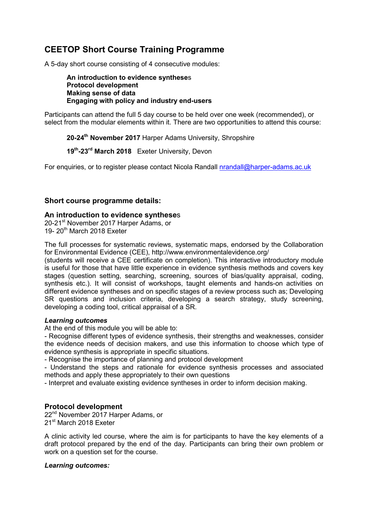## **CEETOP Short Course Training Programme**

A 5-day short course consisting of 4 consecutive modules:

**An introduction to evidence synthese**s **Protocol development Making sense of data Engaging with policy and industry end-users** 

Participants can attend the full 5 day course to be held over one week (recommended), or select from the modular elements within it. There are two opportunities to attend this course:

**20-24th November 2017** Harper Adams University, Shropshire

**19th-23rd March 2018** Exeter University, Devon

For enquiries, or to register please contact Nicola Randall nrandall@harper-adams.ac.uk

## **Short course programme details:**

#### **An introduction to evidence synthese**s

20-21<sup>st</sup> November 2017 Harper Adams, or 19-  $20<sup>th</sup>$  March 2018 Exeter

The full processes for systematic reviews, systematic maps, endorsed by the Collaboration for Environmental Evidence (CEE), http://www.environmentalevidence.org/

(students will receive a CEE certificate on completion). This interactive introductory module is useful for those that have little experience in evidence synthesis methods and covers key stages (question setting, searching, screening, sources of bias/quality appraisal, coding, synthesis etc.). It will consist of workshops, taught elements and hands-on activities on different evidence syntheses and on specific stages of a review process such as; Developing SR questions and inclusion criteria, developing a search strategy, study screening, developing a coding tool, critical appraisal of a SR.

#### *Learning outcomes*

At the end of this module you will be able to:

- Recognise different types of evidence synthesis, their strengths and weaknesses, consider the evidence needs of decision makers, and use this information to choose which type of evidence synthesis is appropriate in specific situations.

- Recognise the importance of planning and protocol development

- Understand the steps and rationale for evidence synthesis processes and associated methods and apply these appropriately to their own questions

- Interpret and evaluate existing evidence syntheses in order to inform decision making.

### **Protocol development**

22<sup>nd</sup> November 2017 Harper Adams, or 21<sup>st</sup> March 2018 Exeter

A clinic activity led course, where the aim is for participants to have the key elements of a draft protocol prepared by the end of the day*.* Participants can bring their own problem or work on a question set for the course.

#### *Learning outcomes:*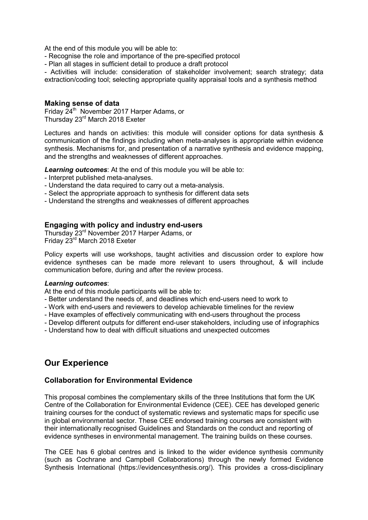At the end of this module you will be able to:

- Recognise the role and importance of the pre-specified protocol
- Plan all stages in sufficient detail to produce a draft protocol

- Activities will include: consideration of stakeholder involvement; search strategy; data extraction/coding tool; selecting appropriate quality appraisal tools and a synthesis method

#### **Making sense of data**

Friday 24<sup>th</sup> November 2017 Harper Adams, or Thursday 23rd March 2018 Exeter

Lectures and hands on activities: this module will consider options for data synthesis & communication of the findings including when meta-analyses is appropriate within evidence synthesis. Mechanisms for, and presentation of a narrative synthesis and evidence mapping, and the strengths and weaknesses of different approaches.

*Learning outcomes*: At the end of this module you will be able to:

- Interpret published meta-analyses.
- Understand the data required to carry out a meta-analysis.
- Select the appropriate approach to synthesis for different data sets
- Understand the strengths and weaknesses of different approaches

### **Engaging with policy and industry end-users**

Thursday 23rd November 2017 Harper Adams, or Friday 23rd March 2018 Exeter

Policy experts will use workshops, taught activities and discussion order to explore how evidence syntheses can be made more relevant to users throughout, & will include communication before, during and after the review process.

#### *Learning outcomes*:

At the end of this module participants will be able to:

- Better understand the needs of, and deadlines which end-users need to work to
- Work with end-users and reviewers to develop achievable timelines for the review
- Have examples of effectively communicating with end-users throughout the process
- Develop different outputs for different end-user stakeholders, including use of infographics
- Understand how to deal with difficult situations and unexpected outcomes

## **Our Experience**

### **Collaboration for Environmental Evidence**

This proposal combines the complementary skills of the three Institutions that form the UK Centre of the Collaboration for Environmental Evidence (CEE). CEE has developed generic training courses for the conduct of systematic reviews and systematic maps for specific use in global environmental sector. These CEE endorsed training courses are consistent with their internationally recognised Guidelines and Standards on the conduct and reporting of evidence syntheses in environmental management. The training builds on these courses.

The CEE has 6 global centres and is linked to the wider evidence synthesis community (such as Cochrane and Campbell Collaborations) through the newly formed Evidence Synthesis International (https://evidencesynthesis.org/). This provides a cross-disciplinary